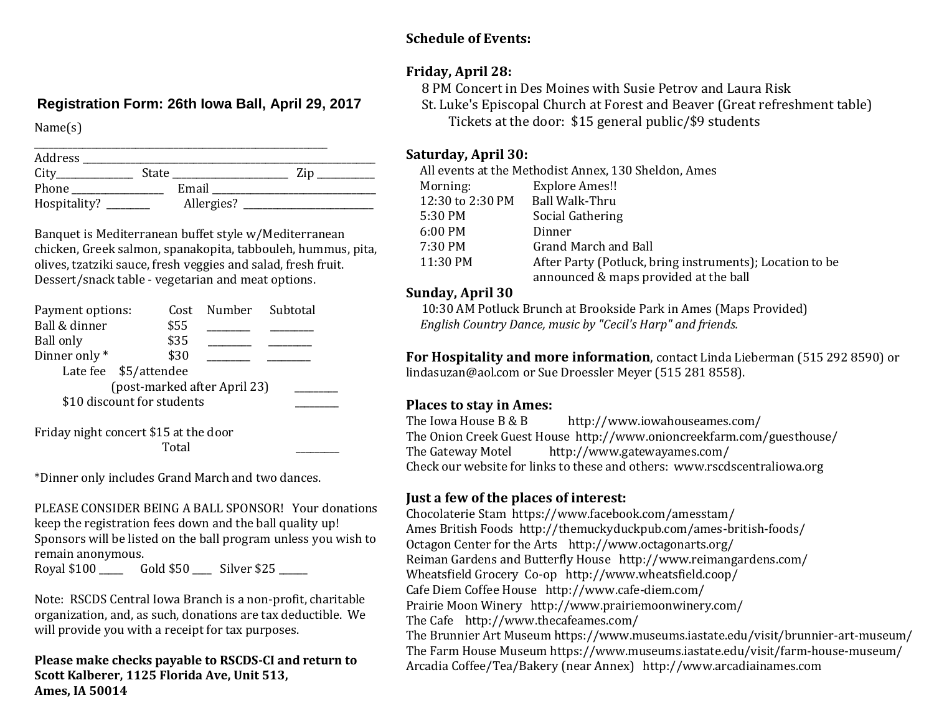#### **Schedule of Events:**

## **Friday, April 28:**

**Registration Form: 26th Iowa Ball, April 29, 2017**

Name(s)

| Address      |       |            |     |  |
|--------------|-------|------------|-----|--|
| City         | State |            | Zin |  |
| Phone        |       | Email      |     |  |
| Hospitality? |       | Allergies? |     |  |

Banquet is Mediterranean buffet style w/Mediterranean chicken, Greek salmon, spanakopita, tabbouleh, hummus, pita, olives, tzatziki sauce, fresh veggies and salad, fresh fruit. Dessert/snack table - vegetarian and meat options.

| Payment options:             | Cost                  | Number Subtotal |  |  |  |
|------------------------------|-----------------------|-----------------|--|--|--|
| Ball & dinner                | \$55                  |                 |  |  |  |
| <b>Ball only</b>             | \$35                  |                 |  |  |  |
| Dinner only*                 | \$30                  |                 |  |  |  |
|                              | Late fee \$5/attendee |                 |  |  |  |
| (post-marked after April 23) |                       |                 |  |  |  |
| \$10 discount for students   |                       |                 |  |  |  |
|                              |                       |                 |  |  |  |

Friday night concert \$15 at the door Total \_\_\_\_\_\_\_\_\_

\*Dinner only includes Grand March and two dances.

PLEASE CONSIDER BEING A BALL SPONSOR! Your donations keep the registration fees down and the ball quality up! Sponsors will be listed on the ball program unless you wish to remain anonymous. Royal \$100 \_\_\_\_\_\_\_\_ Gold \$50 \_\_\_\_\_ Silver \$25 \_\_\_\_\_

Note: RSCDS Central Iowa Branch is a non-profit, charitable organization, and, as such, donations are tax deductible. We will provide you with a receipt for tax purposes.

**Please make checks payable to RSCDS-CI and return to Scott Kalberer, 1125 Florida Ave, Unit 513, Ames, IA 50014**

 8 PM Concert in Des Moines with Susie Petrov and Laura Risk St. Luke's Episcopal Church at Forest and Beaver (Great refreshment table) Tickets at the door: \$15 general public/\$9 students

## **Saturday, April 30:**

| All events at the Methodist Annex, 130 Sheldon, Ames |                                                          |  |
|------------------------------------------------------|----------------------------------------------------------|--|
| Morning:                                             | <b>Explore Ames!!</b>                                    |  |
| 12:30 to 2:30 PM Ball Walk-Thru                      |                                                          |  |
| 5:30 PM                                              | Social Gathering                                         |  |
| $6:00$ PM                                            | Dinner                                                   |  |
| 7:30 PM                                              | Grand March and Ball                                     |  |
| 11:30 PM                                             | After Party (Potluck, bring instruments); Location to be |  |
|                                                      | announced & maps provided at the ball                    |  |

## **Sunday, April 30**

 10:30 AM Potluck Brunch at Brookside Park in Ames (Maps Provided) *English Country Dance, music by "Cecil's Harp" and friends.*

**For Hospitality and more information**, contact Linda Lieberman (515 292 8590) or lindasuzan@aol.com or Sue Droessler Meyer (515 281 8558).

## **Places to stay in Ames:**

The Iowa House B & B http://www.iowahouseames.com/ The Onion Creek Guest House http://www.onioncreekfarm.com/guesthouse/ The Gateway Motel http://www.gatewayames.com/ Check our website for links to these and others: www.rscdscentraliowa.org

## **Just a few of the places of interest:**

Chocolaterie Stam https://www.facebook.com/amesstam/ Ames British Foods http://themuckyduckpub.com/ames-british-foods/ Octagon Center for the Arts http://www.octagonarts.org/ Reiman Gardens and Butterfly House http://www.reimangardens.com/ Wheatsfield Grocery Co-op http://www.wheatsfield.coop/ Cafe Diem Coffee House http://www.cafe-diem.com/ Prairie Moon Winery http://www.prairiemoonwinery.com/ The Cafe http://www.thecafeames.com/ The Brunnier Art Museum https://www.museums.iastate.edu/visit/brunnier-art-museum/ The Farm House Museum https://www.museums.iastate.edu/visit/farm-house-museum/ Arcadia Coffee/Tea/Bakery (near Annex) http://www.arcadiainames.com